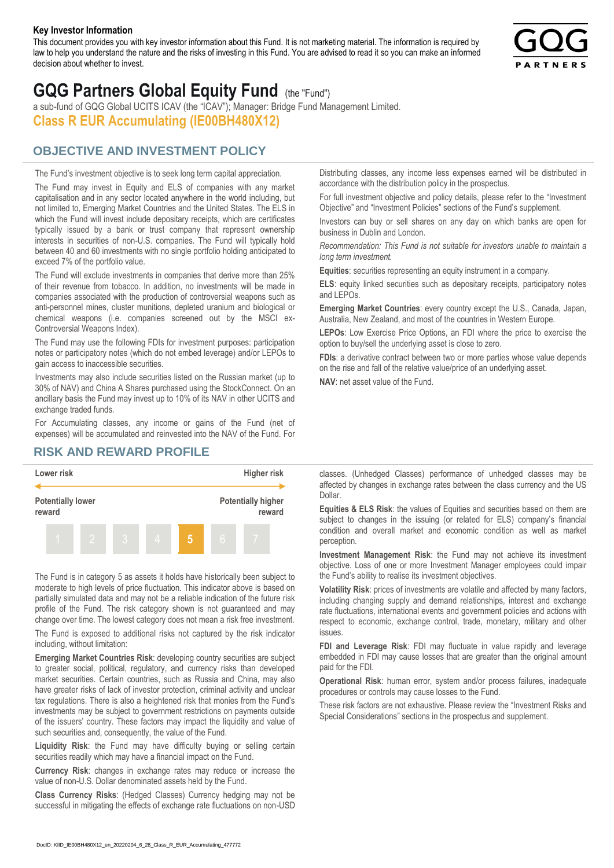#### **Key Investor Information**

This document provides you with key investor information about this Fund. It is not marketing material. The information is required by law to help you understand the nature and the risks of investing in this Fund. You are advised to read it so you can make an informed decision about whether to invest.



# **GQG Partners Global Equity Fund** (the "Fund")

a sub-fund of GQG Global UCITS ICAV (the "ICAV"); Manager: Bridge Fund Management Limited. **Class R EUR Accumulating (IE00BH480X12)**

### **OBJECTIVE AND INVESTMENT POLICY**

The Fund's investment objective is to seek long term capital appreciation. The Fund may invest in Equity and ELS of companies with any market capitalisation and in any sector located anywhere in the world including, but not limited to, Emerging Market Countries and the United States. The ELS in which the Fund will invest include depositary receipts, which are certificates typically issued by a bank or trust company that represent ownership interests in securities of non-U.S. companies. The Fund will typically hold between 40 and 60 investments with no single portfolio holding anticipated to exceed 7% of the portfolio value.

The Fund will exclude investments in companies that derive more than 25% of their revenue from tobacco. In addition, no investments will be made in companies associated with the production of controversial weapons such as anti-personnel mines, cluster munitions, depleted uranium and biological or chemical weapons (i.e. companies screened out by the MSCI ex-Controversial Weapons Index).

The Fund may use the following FDIs for investment purposes: participation notes or participatory notes (which do not embed leverage) and/or LEPOs to gain access to inaccessible securities.

Investments may also include securities listed on the Russian market (up to 30% of NAV) and China A Shares purchased using the StockConnect. On an ancillary basis the Fund may invest up to 10% of its NAV in other UCITS and exchange traded funds.

For Accumulating classes, any income or gains of the Fund (net of expenses) will be accumulated and reinvested into the NAV of the Fund. For Distributing classes, any income less expenses earned will be distributed in accordance with the distribution policy in the prospectus.

For full investment objective and policy details, please refer to the "Investment Objective" and "Investment Policies" sections of the Fund's supplement.

Investors can buy or sell shares on any day on which banks are open for business in Dublin and London.

*Recommendation: This Fund is not suitable for investors unable to maintain a long term investment.*

**Equities**: securities representing an equity instrument in a company.

**ELS**: equity linked securities such as depositary receipts, participatory notes and LEPOs.

**Emerging Market Countries**: every country except the U.S., Canada, Japan, Australia, New Zealand, and most of the countries in Western Europe.

**LEPOs**: Low Exercise Price Options, an FDI where the price to exercise the option to buy/sell the underlying asset is close to zero.

**FDIs**: a derivative contract between two or more parties whose value depends on the rise and fall of the relative value/price of an underlying asset.

**NAV**: net asset value of the Fund.

#### **RISK AND REWARD PROFILE**



The Fund is in category 5 as assets it holds have historically been subject to moderate to high levels of price fluctuation. This indicator above is based on partially simulated data and may not be a reliable indication of the future risk profile of the Fund. The risk category shown is not guaranteed and may change over time. The lowest category does not mean a risk free investment.

The Fund is exposed to additional risks not captured by the risk indicator including, without limitation:

**Emerging Market Countries Risk**: developing country securities are subject to greater social, political, regulatory, and currency risks than developed market securities. Certain countries, such as Russia and China, may also have greater risks of lack of investor protection, criminal activity and unclear tax regulations. There is also a heightened risk that monies from the Fund's investments may be subject to government restrictions on payments outside of the issuers' country. These factors may impact the liquidity and value of such securities and, consequently, the value of the Fund.

**Liquidity Risk**: the Fund may have difficulty buying or selling certain securities readily which may have a financial impact on the Fund.

**Currency Risk**: changes in exchange rates may reduce or increase the value of non-U.S. Dollar denominated assets held by the Fund.

**Class Currency Risks**: (Hedged Classes) Currency hedging may not be successful in mitigating the effects of exchange rate fluctuations on non-USD classes. (Unhedged Classes) performance of unhedged classes may be affected by changes in exchange rates between the class currency and the US Dollar.

**Equities & ELS Risk**: the values of Equities and securities based on them are subject to changes in the issuing (or related for ELS) company's financial condition and overall market and economic condition as well as market perception.

**Investment Management Risk**: the Fund may not achieve its investment objective. Loss of one or more Investment Manager employees could impair the Fund's ability to realise its investment objectives.

**Volatility Risk**: prices of investments are volatile and affected by many factors, including changing supply and demand relationships, interest and exchange rate fluctuations, international events and government policies and actions with respect to economic, exchange control, trade, monetary, military and other issues.

**FDI and Leverage Risk**: FDI may fluctuate in value rapidly and leverage embedded in FDI may cause losses that are greater than the original amount paid for the FDI.

**Operational Risk**: human error, system and/or process failures, inadequate procedures or controls may cause losses to the Fund.

These risk factors are not exhaustive. Please review the "Investment Risks and Special Considerations" sections in the prospectus and supplement.